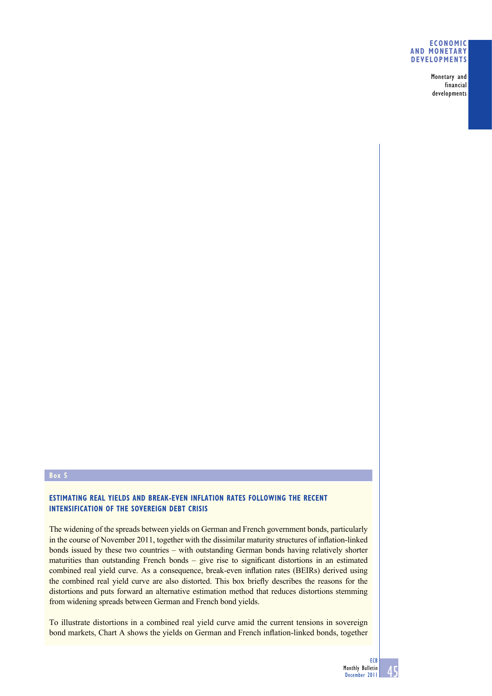#### **ECONOMIC AND MONETARY DEVELOPMENTS**

Monetary and financial developments

#### **Box 5**

# **ESTIMATING REAL YIELDS AND BREAK-EVEN INFLATION RATES FOLLOWING THE RECENT INTENSIFICATION OF THE SOVEREIGN DEBT CRISIS**

The widening of the spreads between yields on German and French government bonds, particularly in the course of November 2011, together with the dissimilar maturity structures of inflation-linked bonds issued by these two countries – with outstanding German bonds having relatively shorter maturities than outstanding French bonds  $-$  give rise to significant distortions in an estimated combined real yield curve. As a consequence, break-even inflation rates (BEIRs) derived using the combined real yield curve are also distorted. This box briefly describes the reasons for the distortions and puts forward an alternative estimation method that reduces distortions stemming from widening spreads between German and French bond yields.

To illustrate distortions in a combined real yield curve amid the current tensions in sovereign bond markets, Chart A shows the yields on German and French inflation-linked bonds, together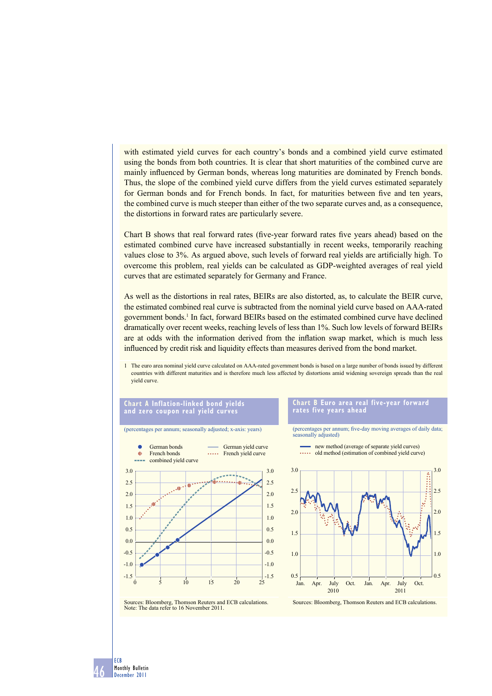with estimated yield curves for each country's bonds and a combined yield curve estimated using the bonds from both countries. It is clear that short maturities of the combined curve are mainly influenced by German bonds, whereas long maturities are dominated by French bonds. Thus, the slope of the combined yield curve differs from the yield curves estimated separately for German bonds and for French bonds. In fact, for maturities between five and ten years, the combined curve is much steeper than either of the two separate curves and, as a consequence, the distortions in forward rates are particularly severe.

Chart B shows that real forward rates (five-year forward rates five years ahead) based on the estimated combined curve have increased substantially in recent weeks, temporarily reaching values close to 3%. As argued above, such levels of forward real yields are artificially high. To overcome this problem, real yields can be calculated as GDP-weighted averages of real yield curves that are estimated separately for Germany and France.

As well as the distortions in real rates, BEIRs are also distorted, as, to calculate the BEIR curve, the estimated combined real curve is subtracted from the nominal yield curve based on AAA-rated government bonds.<sup>1</sup> In fact, forward BEIRs based on the estimated combined curve have declined dramatically over recent weeks, reaching levels of less than 1%. Such low levels of forward BEIRs are at odds with the information derived from the inflation swap market, which is much less influenced by credit risk and liquidity effects than measures derived from the bond market.

1 The euro area nominal yield curve calculated on AAA-rated government bonds is based on a large number of bonds issued by different countries with different maturities and is therefore much less affected by distortions amid widening sovereign spreads than the real yield curve.

### **Chart A Inflation-linked bond yields and zero coupon real yield curves**

(percentages per annum; seasonally adjusted; x-axis: years)

#### **Chart B Euro area real five-year forward rates five years ahead**

(percentages per annum; five-day moving averages of daily data; seasonally adjusted)







Sources: Bloomberg, Thomson Reuters and ECB calculations. Note: The data refer to 16 November 2011.

46 ECB Monthly Bulletin December 2011